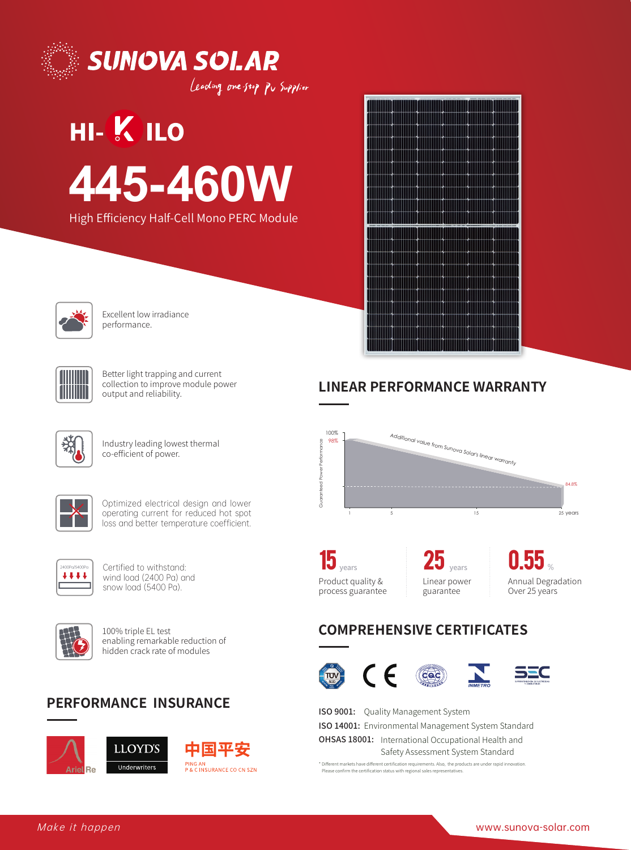



Leading one stop Pv Supplier

# **HI-K ILO 445-460W**





Excellent low irradiance performance.



Better light trapping and current collection to improve module power output and reliability.



Industry leading lowest thermal co-efficient of power.



Optimized electrical design and lower operating current for reduced hot spot loss and better temperature coefficient.



Certified to withstand: wind load (2400 Pa) and snow load (5400 Pa).



100% triple EL test enabling remarkable reduction of hidden crack rate of modules

# **PERFORMANCE INSURANCE**







## **LINEAR PERFORMANCE WARRANTY**



**15** years Product quality & process guarantee

years Linear power guarantee **25**

**0.55** % Annual Degradation Over 25 years

# **COMPREHENSIVE CERTIFICATES**



 $(cac)$ 



ISO 9001: Quality Management System ISO 14001: Environmental Management System Standard OHSAS 18001: International Occupational Health and Safety Assessment System Standard

\* Different markets have different certification requirements. Also, the products are under rapid innov Please confirm the certification status with regional sales representatively